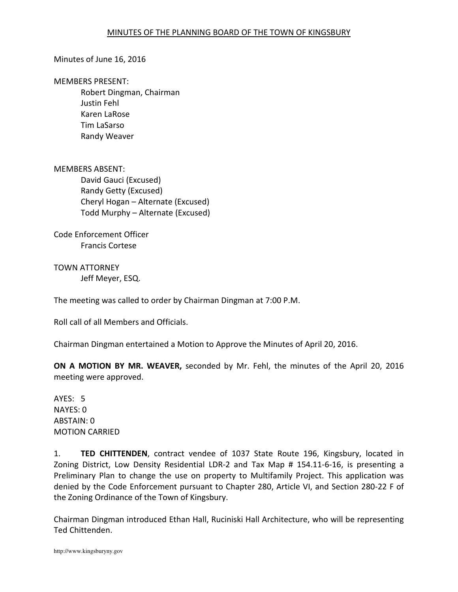## Minutes of June 16, 2016

## MEMBERS PRESENT:

Robert Dingman, Chairman Justin Fehl Karen LaRose Tim LaSarso Randy Weaver

MEMBERS ABSENT: David Gauci (Excused) Randy Getty (Excused) Cheryl Hogan – Alternate (Excused) Todd Murphy – Alternate (Excused)

Code Enforcement Officer Francis Cortese

TOWN ATTORNEY Jeff Meyer, ESQ.

The meeting was called to order by Chairman Dingman at 7:00 P.M.

Roll call of all Members and Officials.

Chairman Dingman entertained a Motion to Approve the Minutes of April 20, 2016.

**ON A MOTION BY MR. WEAVER,** seconded by Mr. Fehl, the minutes of the April 20, 2016 meeting were approved.

AYES: 5 NAYES: 0 ABSTAIN: 0 MOTION CARRIED

1. **TED CHITTENDEN**, contract vendee of 1037 State Route 196, Kingsbury, located in Zoning District, Low Density Residential LDR-2 and Tax Map # 154.11-6-16, is presenting a Preliminary Plan to change the use on property to Multifamily Project. This application was denied by the Code Enforcement pursuant to Chapter 280, Article VI, and Section 280-22 F of the Zoning Ordinance of the Town of Kingsbury.

Chairman Dingman introduced Ethan Hall, Ruciniski Hall Architecture, who will be representing Ted Chittenden.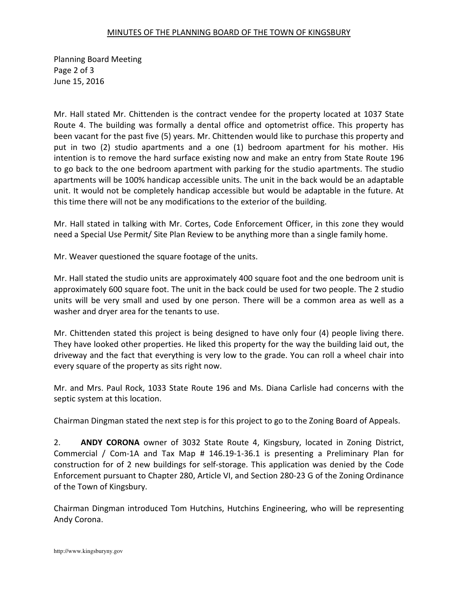## MINUTES OF THE PLANNING BOARD OF THE TOWN OF KINGSBURY

Planning Board Meeting Page 2 of 3 June 15, 2016

Mr. Hall stated Mr. Chittenden is the contract vendee for the property located at 1037 State Route 4. The building was formally a dental office and optometrist office. This property has been vacant for the past five (5) years. Mr. Chittenden would like to purchase this property and put in two (2) studio apartments and a one (1) bedroom apartment for his mother. His intention is to remove the hard surface existing now and make an entry from State Route 196 to go back to the one bedroom apartment with parking for the studio apartments. The studio apartments will be 100% handicap accessible units. The unit in the back would be an adaptable unit. It would not be completely handicap accessible but would be adaptable in the future. At this time there will not be any modifications to the exterior of the building.

Mr. Hall stated in talking with Mr. Cortes, Code Enforcement Officer, in this zone they would need a Special Use Permit/ Site Plan Review to be anything more than a single family home.

Mr. Weaver questioned the square footage of the units.

Mr. Hall stated the studio units are approximately 400 square foot and the one bedroom unit is approximately 600 square foot. The unit in the back could be used for two people. The 2 studio units will be very small and used by one person. There will be a common area as well as a washer and dryer area for the tenants to use.

Mr. Chittenden stated this project is being designed to have only four (4) people living there. They have looked other properties. He liked this property for the way the building laid out, the driveway and the fact that everything is very low to the grade. You can roll a wheel chair into every square of the property as sits right now.

Mr. and Mrs. Paul Rock, 1033 State Route 196 and Ms. Diana Carlisle had concerns with the septic system at this location.

Chairman Dingman stated the next step is for this project to go to the Zoning Board of Appeals.

2. **ANDY CORONA** owner of 3032 State Route 4, Kingsbury, located in Zoning District, Commercial / Com-1A and Tax Map # 146.19-1-36.1 is presenting a Preliminary Plan for construction for of 2 new buildings for self-storage. This application was denied by the Code Enforcement pursuant to Chapter 280, Article VI, and Section 280-23 G of the Zoning Ordinance of the Town of Kingsbury.

Chairman Dingman introduced Tom Hutchins, Hutchins Engineering, who will be representing Andy Corona.